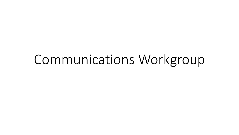# Communications Workgroup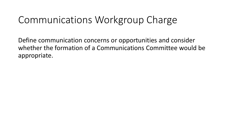### Communications Workgroup Charge

Define communication concerns or opportunities and consider whether the formation of a Communications Committee would be appropriate.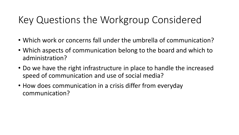### Key Questions the Workgroup Considered

- Which work or concerns fall under the umbrella of communication?
- Which aspects of communication belong to the board and which to administration?
- Do we have the right infrastructure in place to handle the increased speed of communication and use of social media?
- How does communication in a crisis differ from everyday communication?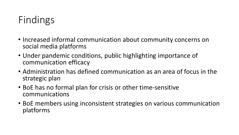## Findings

- Increased informal communication about community concerns on social media platforms
- Under pandemic conditions, public highlighting importance of communication efficacy
- Administration has defined communication as an area of focus in the strategic plan
- BoE has no formal plan for crisis or other time-sensitive communications
- BoE members using inconsistent strategies on various communication platforms